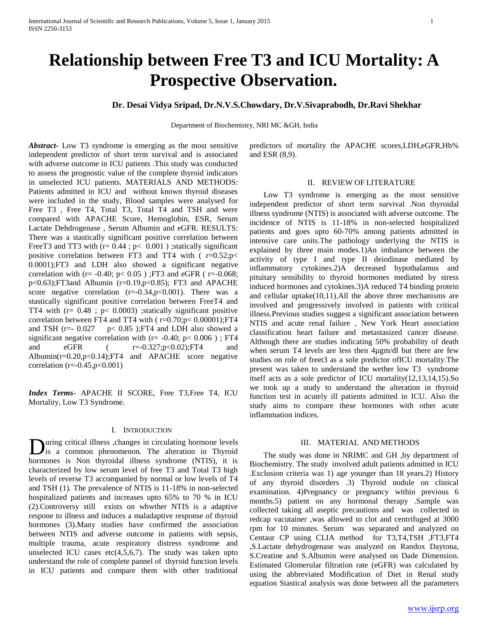# **Relationship between Free T3 and ICU Mortality: A Prospective Observation.**

# **Dr. Desai Vidya Sripad, Dr.N.V.S.Chowdary, Dr.V.Sivaprabodh, Dr.Ravi Shekhar**

Department of Biochemistry, NRI MC &GH, India

*Abstract***-** Low T3 syndrome is emerging as the most sensitive independent predictor of short term survival and is associated with adverse outcome in ICU patients .This study was conducted to assess the prognostic value of the complete thyroid indicators in unselected ICU patients. MATERIALS AND METHODS: Patients admitted in ICU and without known thyroid diseases were included in the study, Blood samples were analysed for Free T3, Free T4, Total T3, Total T4 and TSH and were compared with APACHE Score, Hemoglobin, ESR, Serum Lactate Dehdrogenase , Serum Albumin and eGFR. RESULTS: There was a stastically significant positive correlation between Free T3 and TT3 with  $(r= 0.44$ ;  $p< 0.001$ ); statically significant positive correlation between FT3 and TT4 with  $(r=0.52;p<$ 0.0001);FT3 and LDH also showed a significant negative correlation with (r= -0.40; p< 0.05); FT3 and eGFR ( $r=$ -0.068;  $p<0.63$ ;FT3and Albumin (r=0.19,p<0.85); FT3 and APACHE score negative correlation  $(r=-0.34, p<0.001)$ . There was a stastically significant positive correlation between FreeT4 and TT4 with  $(r= 0.48$ ;  $p < 0.0003$ ); statically significant positive correlation between FT4 and TT4 with ( $r=0.70$ ; $p< 0.00001$ ); $FT4$ and TSH (r=-  $0.027$  p < 0.85 ); FT4 and LDH also showed a significant negative correlation with ( $r = -0.40$ ;  $p < 0.006$ ); FT4 and eGFR ( r=-0.327;p<0.02);FT4 and Albumin(r=0.20,p<0.14);FT4 and APACHE score negative correlation ( $r = -0.45$ ,  $p < 0.001$ )

*Index Terms*- APACHE II SCORE, Free T3,Free T4, ICU Mortality, Low T3 Syndrome.

# I. INTRODUCTION

**D**uring critical illness ,changes in circulating hormone levels<br>is a common phenomenom. The alteration in Thyroid is a common phenomenon. The alteration in Thyroid hormones is Non thyroidal illness syndrome (NTIS), it is characterized by low serum level of free T3 and Total T3 high levels of reverse T3 accompanied by normal or low levels of T4 and TSH (1). The prevalence of NTIS is 11-18% in non-selected hospitalized patients and increases upto 65% to 70 % in ICU (2).Controversy still exists on whwther NTIS is a adaptive respone to illness and induces a maladaptive response of thyroid hormones (3).Many studies have confirmed the association between NTIS and adverse outcome in patients with sepsis, multiple trauma, acute respiratory distress syndrome and unselected ICU cases  $etc(4,5,6,7)$ . The study was taken upto understand the role of complete pannel of thyroid function levels in ICU patients and compare them with other traditional

predictors of mortality the APACHE scores,LDH,eGFR,Hb% and ESR (8,9).

#### II. REVIEW OF LITERATURE

 Low T3 syndrome is emerging as the most sensitive independent predictor of short term survival .Non thyroidal illness syndrome (NTIS) is associated with adverse outcome. The incidence of NTIS is 11-18% in non-selected hospitalized patients and goes upto 60-70% among patients admitted in intensive care units.The pathology underlying the NTIS is explained by three main modes.1)An imbalance between the activity of type I and type II deiodinase mediated by inflammatory cytokines.2)A decreased hypothalamus and pituitary sensibility to thyroid hormones mediated by stress induced hormones and cytokines.3)A reduced T4 binding protein and cellular uptake(10,11).All the above three mechanisms are involved and progressively involved in patients with critical illness.Previous studies suggest a significant association between NTIS and acute renal failure , New York Heart association classification heart failure and metastasized cancer disease. Although there are studies indicating 50% probability of death when serum T4 levels are less then 4µgm/dl but there are few studies on role of freet3 as a sole predictor ofICU mortality.The present was taken to understand the wether low T3 syndrome itself acts as a sole predictor of ICU mortality(12,13,14,15).So we took up a study to understand the alteration in thyroid function test in acutely ill patients admitted in ICU. Also the study aims to compare these hormones with other acute inflammation indices.

### III. MATERIAL AND METHODS

 The study was done in NRIMC and GH ,by department of Biochemistry. The study involved adult patients admitted in ICU .Exclusion criteria was 1) age younger than 18 years.2) History of any thyroid disorders .3) Thyroid nodule on clinical examination. 4)Pregnancy or pregnancy within previous 6 months.5) patient on any hormonal therapy .Sample was collected taking all aseptic precautions and was collected in redcap vacutainer ,was allowed to clot and centrifuged at 3000 rpm for 10 minutes. Serum was separated and analyzed on Centaur CP using CLIA method for T3,T4,TSH ,FT3,FT4 ,S.Lactate dehydrogenase was analyzed on Randox Daytona, S.Creatine and S.Albumin were analysed on Dade Dimension. Estimated Glomerular filtration rate (eGFR) was calculated by using the abbreviated Modification of Diet in Renal study equation Stastical analysis was done between all the parameters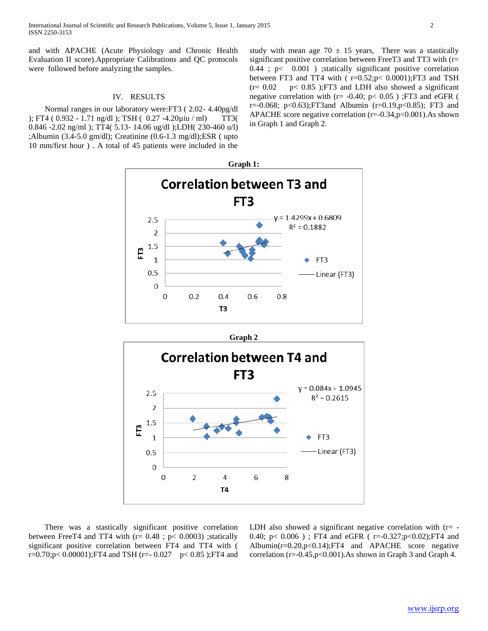International Journal of Scientific and Research Publications, Volume 5, Issue 1, January 2015 2 ISSN 2250-3153

and with APACHE (Acute Physiology and Chronic Health Evaluation II score).Appropriate Calibrations and QC protocols were followed before analyzing the samples.

## IV. RESULTS

 Normal ranges in our laboratory were:FT3 ( 2.02- 4.40pg/dl ); FT4 ( 0.932 - 1.71 ng/dl ); TSH ( 0.27 -4.20µiu / ml) TT3( 0.846 -2.02 ng/ml ); TT4( 5.13- 14.06 ug/dl );LDH( 230-460 u/l) ;Albumin (3.4-5.0 gm/dl); Creatinine (0.6-1.3 mg/dl);ESR ( upto 10 mm/first hour ) . A total of 45 patients were included in the study with mean age 70  $\pm$  15 years, There was a stastically significant positive correlation between FreeT3 and TT3 with (r=  $0.44$ ;  $p< 0.001$ ); statically significant positive correlation between FT3 and TT4 with ( $r=0.52$ ; p< 0.0001); FT3 and TSH  $(r= 0.02 \text{ p} < 0.85)$ ; FT3 and LDH also showed a significant negative correlation with ( $r = -0.40$ ;  $p < 0.05$ ); FT3 and eGFR ( r=-0.068; p<0.63);FT3and Albumin (r=0.19,p<0.85); FT3 and APACHE score negative correlation (r=-0.34,p<0.001).As shown in Graph 1 and Graph 2.





 There was a stastically significant positive correlation between FreeT4 and TT4 with  $(r= 0.48$ ;  $p < 0.0003$ ); statically significant positive correlation between FT4 and TT4 with ( r=0.70;p< 0.00001);FT4 and TSH (r=- 0.027 p< 0.85);FT4 and LDH also showed a significant negative correlation with  $(r= -$ 0.40; p< 0.006 ) ; FT4 and eGFR ( r=-0.327;p<0.02);FT4 and Albumin(r=0.20,p<0.14);FT4 and APACHE score negative correlation  $(r=0.45, p<0.001)$ . As shown in Graph 3 and Graph 4.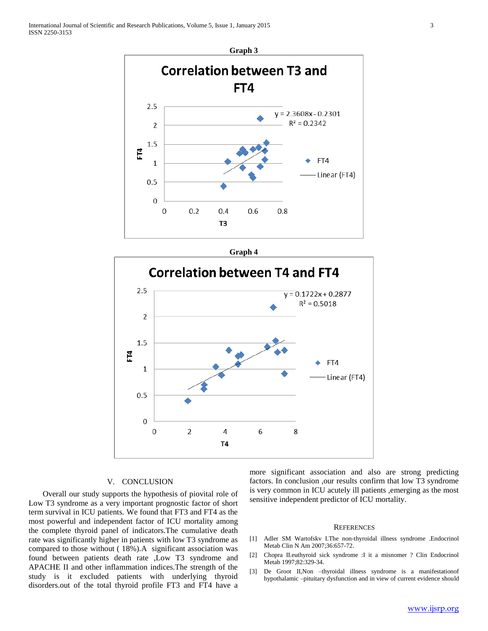



### V. CONCLUSION

 Overall our study supports the hypothesis of piovital role of Low T3 syndrome as a very important prognostic factor of short term survival in ICU patients. We found that FT3 and FT4 as the most powerful and independent factor of ICU mortality among the complete thyroid panel of indicators.The cumulative death rate was significantly higher in patients with low T3 syndrome as compared to those without ( 18%).A significant association was found between patients death rate ,Low T3 syndrome and APACHE II and other inflammation indices.The strength of the study is it excluded patients with underlying thyroid disorders.out of the total thyroid profile FT3 and FT4 have a

more significant association and also are strong predicting factors. In conclusion ,our results confirm that low T3 syndrome is very common in ICU acutely ill patients ,emerging as the most sensitive independent predictor of ICU mortality.

#### **REFERENCES**

- [1] Adler SM Wartofskv I.The non-thyroidal illness syndrome .Endocrinol Metab Clin N Am 2007;36:657-72.
- [2] Chopra II.euthyroid sick syndrome :I it a misnomer ? Clin Endocrinol Metab 1997;82:329-34.
- [3] De Groot II,Non –thyroidal illness syndrome is a manifestationof hypothalamic –pituitary dysfunction and in view of current evidence should